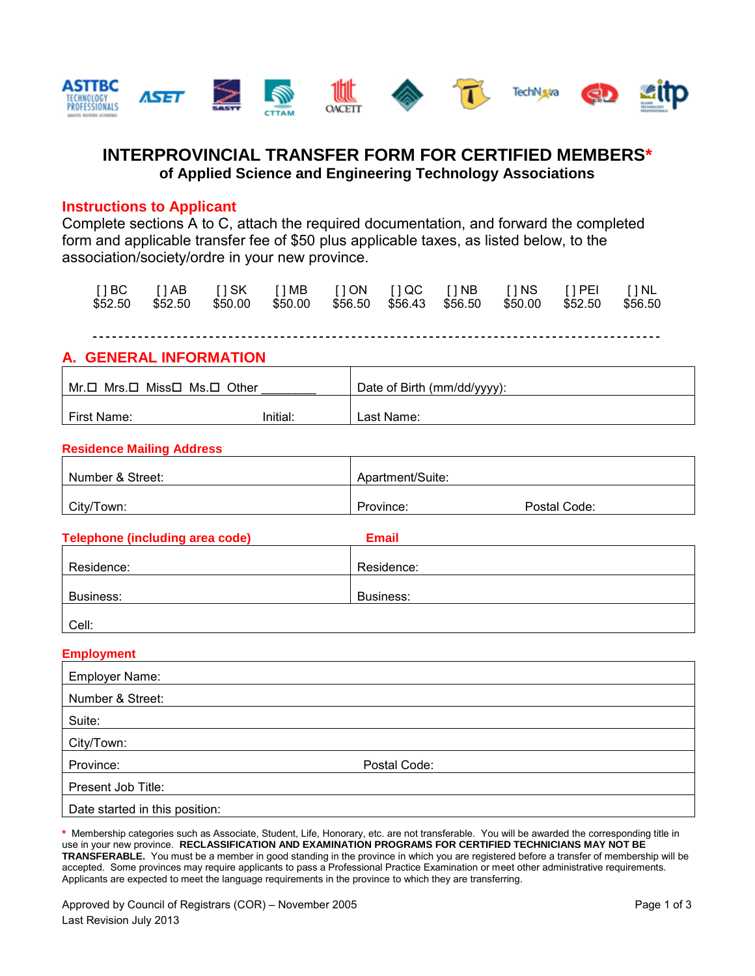

# **INTERPROVINCIAL TRANSFER FORM FOR CERTIFIED MEMBERS\* of Applied Science and Engineering Technology Associations**

#### **Instructions to Applicant**

Complete sections A to C, attach the required documentation, and forward the completed form and applicable transfer fee of \$50 plus applicable taxes, as listed below, to the association/society/ordre in your new province.

|  |  |  | []BC []AB []SK []MB []ON []QC []NB []NS []PEI []NL                              |  |
|--|--|--|---------------------------------------------------------------------------------|--|
|  |  |  | \$52.50 \$52.50 \$50.00 \$50.00 \$56.50 \$56.43 \$56.50 \$50.00 \$52.50 \$56.50 |  |

#### **A. GENERAL INFORMATION**

| Mr.ロ Mrs.ロ Missロ Ms.ロ Other |          | Date of Birth (mm/dd/yyyy): |
|-----------------------------|----------|-----------------------------|
| First Name:                 | Initial: | Last Name:                  |

#### **Residence Mailing Address**

| Number & Street: | Apartment/Suite: |              |
|------------------|------------------|--------------|
| City/Town:       | Province:        | Postal Code: |

| <b>Telephone (including area code)</b> | <b>Email</b> |  |
|----------------------------------------|--------------|--|
| Residence:                             | Residence:   |  |
| Business:                              | Business:    |  |
|                                        |              |  |

Cell:

#### **Employment**

| Employer Name:                 |              |  |  |  |  |
|--------------------------------|--------------|--|--|--|--|
| Number & Street:               |              |  |  |  |  |
| Suite:                         |              |  |  |  |  |
| City/Town:                     |              |  |  |  |  |
| Province:                      | Postal Code: |  |  |  |  |
| Present Job Title:             |              |  |  |  |  |
| Date started in this position: |              |  |  |  |  |

**\*** Membership categories such as Associate, Student, Life, Honorary, etc. are not transferable. You will be awarded the corresponding title in use in your new province. **RECLASSIFICATION AND EXAMINATION PROGRAMS FOR CERTIFIED TECHNICIANS MAY NOT BE TRANSFERABLE.** You must be a member in good standing in the province in which you are registered before a transfer of membership will be accepted. Some provinces may require applicants to pass a Professional Practice Examination or meet other administrative requirements. Applicants are expected to meet the language requirements in the province to which they are transferring.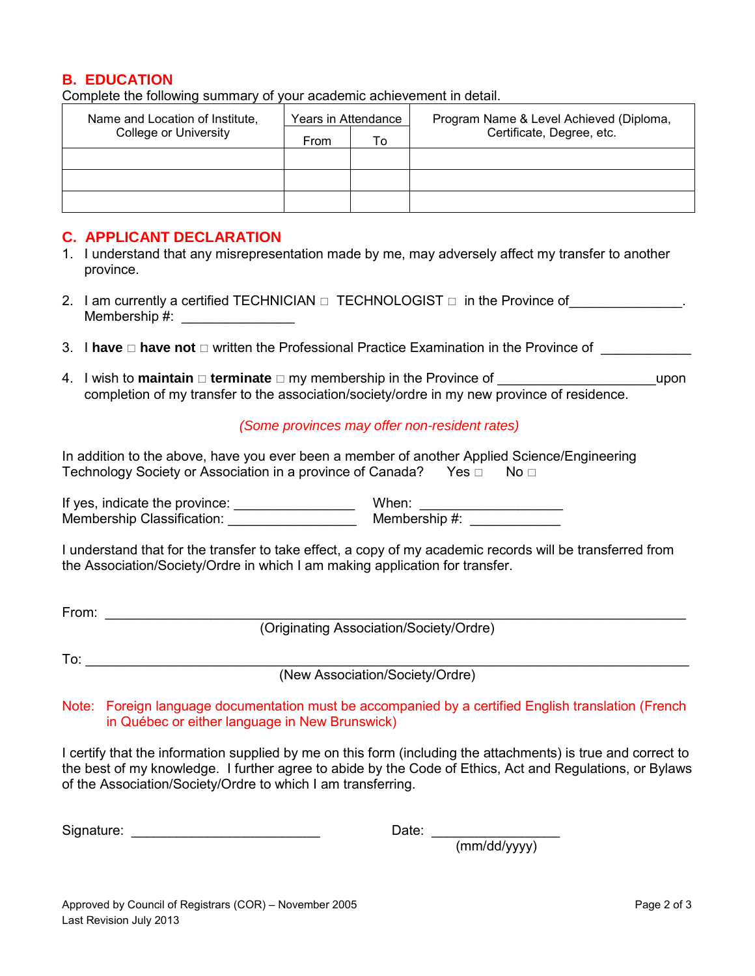#### **B. EDUCATION**

Complete the following summary of your academic achievement in detail.

| Name and Location of Institute, | Years in Attendance |    | Program Name & Level Achieved (Diploma, |
|---------------------------------|---------------------|----|-----------------------------------------|
| <b>College or University</b>    | From                | То | Certificate, Degree, etc.               |
|                                 |                     |    |                                         |
|                                 |                     |    |                                         |
|                                 |                     |    |                                         |

#### **C. APPLICANT DECLARATION**

- 1. I understand that any misrepresentation made by me, may adversely affect my transfer to another province.
- 2. I am currently a certified TECHNICIAN  $\Box$  TECHNOLOGIST  $\Box$  in the Province of Membership #: \_\_\_\_\_\_\_\_\_\_\_\_\_\_\_
- 3. I **have**  $\Box$  have not  $\Box$  written the Professional Practice Examination in the Province of
- 4. I wish to **maintain** □ terminate □ my membership in the Province of **the end-one of** upon completion of my transfer to the association/society/ordre in my new province of residence.

#### *(Some provinces may offer non-resident rates)*

In addition to the above, have you ever been a member of another Applied Science/Engineering Technology Society or Association in a province of Canada? Yes  $\Box$  No  $\Box$ 

If yes, indicate the province: \_\_\_\_\_\_\_\_\_\_\_\_\_\_\_\_ When: \_\_\_\_\_\_\_\_\_\_\_\_\_\_\_\_\_\_\_ Membership Classification: \_\_\_\_\_\_\_\_\_\_\_\_\_\_\_\_\_ Membership #: \_\_\_\_\_\_\_\_\_\_\_\_

I understand that for the transfer to take effect, a copy of my academic records will be transferred from the Association/Society/Ordre in which I am making application for transfer.

From: \_\_\_\_\_\_\_\_\_\_\_\_\_\_\_\_\_\_\_\_\_\_\_\_\_\_\_\_\_\_\_\_\_\_\_\_\_\_\_\_\_\_\_\_\_\_\_\_\_\_\_\_\_\_\_\_\_\_\_\_\_\_\_\_\_\_\_\_\_\_\_\_\_\_\_\_\_

(Originating Association/Society/Ordre)

To: \_\_\_\_\_\_\_\_\_\_\_\_\_\_\_\_\_\_\_\_\_\_\_\_\_\_\_\_\_\_\_\_\_\_\_\_\_\_\_\_\_\_\_\_\_\_\_\_\_\_\_\_\_\_\_\_\_\_\_\_\_\_\_\_\_\_\_\_\_\_\_\_\_\_\_\_\_\_\_\_

(New Association/Society/Ordre)

Note: Foreign language documentation must be accompanied by a certified English translation (French in Québec or either language in New Brunswick)

I certify that the information supplied by me on this form (including the attachments) is true and correct to the best of my knowledge. I further agree to abide by the Code of Ethics, Act and Regulations, or Bylaws of the Association/Society/Ordre to which I am transferring.

Signature: \_\_\_\_\_\_\_\_\_\_\_\_\_\_\_\_\_\_\_\_\_\_\_\_\_ Date: \_\_\_\_\_\_\_\_\_\_\_\_\_\_\_\_\_

Date:  $\frac{1}{\text{mm}/\text{dd}/\text{yyy}}$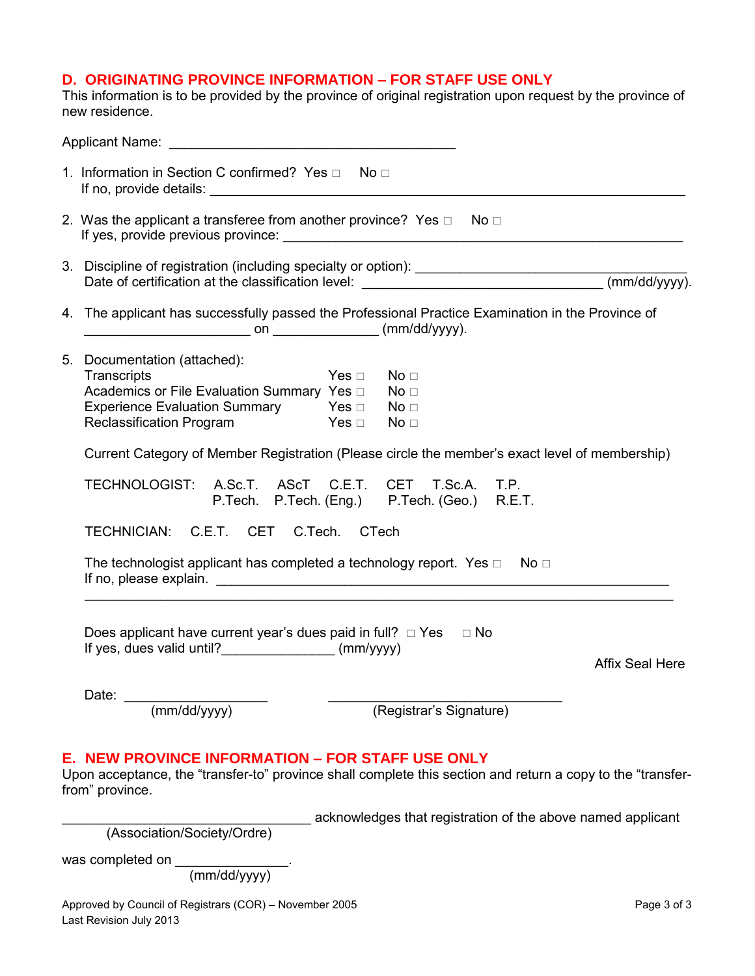## **D. ORIGINATING PROVINCE INFORMATION – FOR STAFF USE ONLY**

This information is to be provided by the province of original registration upon request by the province of new residence.

| 1. Information in Section C confirmed? Yes $\Box$ No $\Box$                                                                                                                                          |  |  |  |  |  |
|------------------------------------------------------------------------------------------------------------------------------------------------------------------------------------------------------|--|--|--|--|--|
| 2. Was the applicant a transferee from another province? Yes $\Box$ No $\Box$                                                                                                                        |  |  |  |  |  |
|                                                                                                                                                                                                      |  |  |  |  |  |
| 4. The applicant has successfully passed the Professional Practice Examination in the Province of                                                                                                    |  |  |  |  |  |
| 5. Documentation (attached):<br>Transcripts<br>$Yes \Box$ No $\Box$<br>Academics or File Evaluation Summary Yes □ No □<br>Reclassification Program Ves □ No □                                        |  |  |  |  |  |
| Current Category of Member Registration (Please circle the member's exact level of membership)<br>TECHNOLOGIST: A.Sc.T. AScT C.E.T. CET T.Sc.A. T.P.<br>P.Tech. P.Tech. (Eng.) P.Tech. (Geo.) R.E.T. |  |  |  |  |  |
| TECHNICIAN: C.E.T. CET C.Tech. CTech<br>The technologist applicant has completed a technology report. Yes $\Box$ No $\Box$                                                                           |  |  |  |  |  |
| Does applicant have current year's dues paid in full? $\Box$ Yes $\Box$ No<br>If yes, dues valid until?__________________ (mm/yyyy)<br><b>Affix Seal Here</b>                                        |  |  |  |  |  |
| (Registrar's Signature)                                                                                                                                                                              |  |  |  |  |  |
| E. NEW PROVINCE INFORMATION - FOR STAFF USE ONLY<br>Upon acceptance, the "transfer-to" province shall complete this section and return a copy to the "transfer-<br>from" province.                   |  |  |  |  |  |
| acknowledges that registration of the above named applicant                                                                                                                                          |  |  |  |  |  |

(Association/Society/Ordre)

was completed on \_

(mm/dd/yyyy)